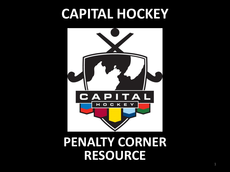# **CAPITAL HOCKEY**



### **PENALTY CORNER RESOURCE**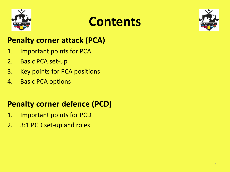

### **Contents**



#### **Penalty corner attack (PCA)**

- 1. Important points for PCA
- 2. Basic PCA set-up
- 3. Key points for PCA positions
- 4. Basic PCA options

### **Penalty corner defence (PCD)**

- 1. Important points for PCD
- 2. 3:1 PCD set-up and roles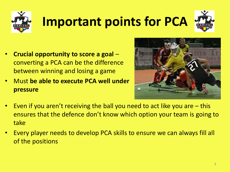

# **Important points for PCA**



- **Crucial opportunity to score a goal**  converting a PCA can be the difference between winning and losing a game
- Must **be able to execute PCA well under pressure**



- Even if you aren't receiving the ball you need to act like you are  $-$  this ensures that the defence don't know which option your team is going to take
- Every player needs to develop PCA skills to ensure we can always fill all of the positions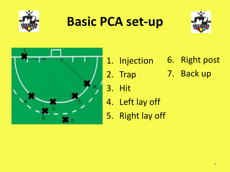

### **Basic PCA set-up**





- 1. Injection 6. Right post
- 2. Trap
- 3. Hit

7. Back up

- 4. Left lay off
- 5. Right lay off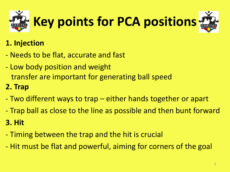

### **1. Injection**

- Needs to be flat, accurate and fast
- Low body position and weight transfer are important for generating ball speed

### **2. Trap**

- Two different ways to trap either hands together or apart
- Trap ball as close to the line as possible and then bunt forward

### **3. Hit**

- Timing between the trap and the hit is crucial
- Hit must be flat and powerful, aiming for corners of the goal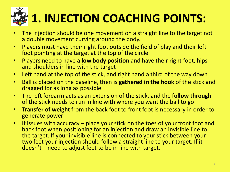# **1. INJECTION COACHING POINTS:**

- The injection should be one movement on a straight line to the target not a double movement curving around the body.
- Players must have their right foot outside the field of play and their left foot pointing at the target at the top of the circle
- Players need to have **a low body position** and have their right foot, hips and shoulders in line with the target
- Left hand at the top of the stick, and right hand a third of the way down
- Ball is placed on the baseline, then is **gathered in the hook** of the stick and dragged for as long as possible
- The left forearm acts as an extension of the stick, and the **follow through** of the stick needs to run in line with where you want the ball to go
- **Transfer of weight** from the back foot to front foot is necessary in order to generate power
- If issues with accuracy place your stick on the toes of your front foot and back foot when positioning for an injection and draw an invisible line to the target. If your invisible line is connected to your stick between your two feet your injection should follow a straight line to your target. If it doesn't – need to adjust feet to be in line with target.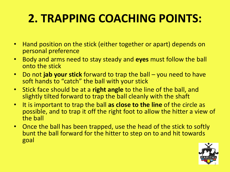### **2. TRAPPING COACHING POINTS:**

- Hand position on the stick (either together or apart) depends on personal preference
- Body and arms need to stay steady and **eyes** must follow the ball onto the stick
- Do not **jab your stick** forward to trap the ball you need to have soft hands to "catch" the ball with your stick
- Stick face should be at a **right angle** to the line of the ball, and slightly tilted forward to trap the ball cleanly with the shaft
- It is important to trap the ball **as close to the line** of the circle as possible, and to trap it off the right foot to allow the hitter a view of the ball
- Once the ball has been trapped, use the head of the stick to softly bunt the ball forward for the hitter to step on to and hit towards goal

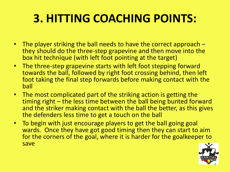### **3. HITTING COACHING POINTS:**

- The player striking the ball needs to have the correct approach they should do the three-step grapevine and then move into the box hit technique (with left foot pointing at the target)
- The three-step grapevine starts with left foot stepping forward towards the ball, followed by right foot crossing behind, then left foot taking the final step forwards before making contact with the ball
- The most complicated part of the striking action is getting the timing right – the less time between the ball being bunted forward and the striker making contact with the ball the better, as this gives the defenders less time to get a touch on the ball
- To begin with just encourage players to get the ball going goal wards. Once they have got good timing then they can start to aim for the corners of the goal, where it is harder for the goalkeeper to save

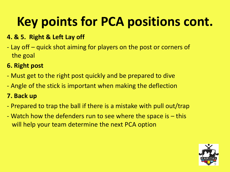# **Key points for PCA positions cont.**

#### **4. & 5. Right & Left Lay off**

- Lay off – quick shot aiming for players on the post or corners of the goal

#### **6. Right post**

- Must get to the right post quickly and be prepared to dive
- Angle of the stick is important when making the deflection

#### **7. Back up**

- Prepared to trap the ball if there is a mistake with pull out/trap
- Watch how the defenders run to see where the space is this will help your team determine the next PCA option

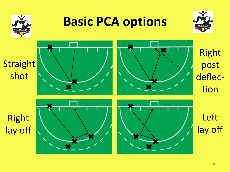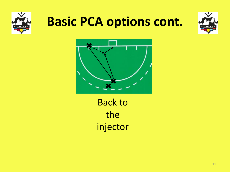

### **Basic PCA options cont.**





Back to the injector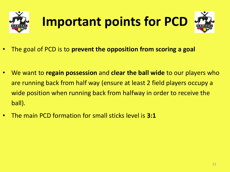

# **Important points for PCD**



- We want to **regain possession** and **clear the ball wide** to our players who are running back from half way (ensure at least 2 field players occupy a wide position when running back from halfway in order to receive the ball).
- The main PCD formation for small sticks level is **3:1**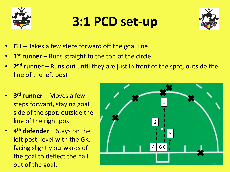

# **3:1 PCD set-up**



- **GK** Takes a few steps forward off the goal line
- **1 st runner**  Runs straight to the top of the circle
- **2<sup>nd</sup> runner** Runs out until they are just in front of the spot, outside the line of the left post
- **3 rd runner**  Moves a few steps forward, staying goal side of the spot, outside the line of the right post
- **4 th defender**  Stays on the left post, level with the GK, facing slightly outwards of the goal to deflect the ball out of the goal.